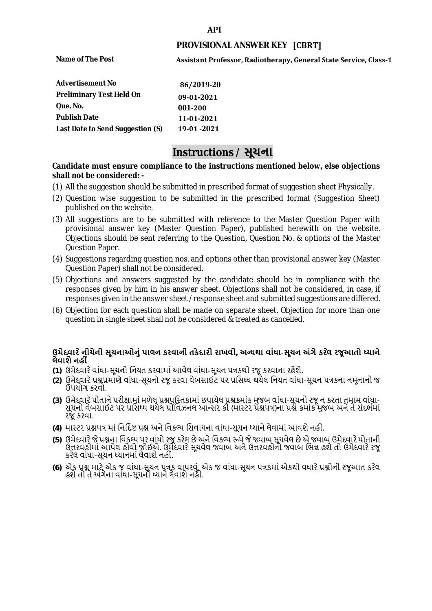#### **API**

## **PROVISIONAL ANSWER KEY [CBRT]**

**Name of The Post** 

**Assistant Professor, Radiotherapy, General State Service, Class-1** 

| <b>Advertisement No</b>          | 86/2019-20  |
|----------------------------------|-------------|
| <b>Preliminary Test Held On</b>  | 09-01-2021  |
| Que. No.                         | 001-200     |
| <b>Publish Date</b>              | 11-01-2021  |
| Last Date to Send Suggestion (S) | 19-01 -2021 |

# **Instructions / સૂચના**

### **shall not be considered: - Candidate must ensure compliance to the instructions mentioned below, else objections**

- (1) All the suggestion should be submitted in prescribed format of suggestion sheet Physically.
- (2) Question wise suggestion to be submitted in the prescribed format (Suggestion Sheet) published on the website.
- (3) All suggestions are to be submitted with reference to the Master Question Paper with provisional answer key (Master Question Paper), published herewith on the website. Objections should be sent referring to the Question, Question No. & options of the Master Question Paper.
- (4) Suggestions regarding question nos. and options other than provisional answer key (Master Question Paper) shall not be considered.
- (5) Objections and answers suggested by the candidate should be in compliance with the responses given by him in his answer sheet. Objections shall not be considered, in case, if responses given in the answer sheet /response sheet and submitted suggestions are differed.
- (6) Objection for each question shall be made on separate sheet. Objection for more than one question in single sheet shall not be considered & treated as cancelled.

# **ઉમેદવાર ેનીચેની સૂચનાઓનું પાલન કરવાની તકેદારી રાખવી, અլયથા વાંધા-સૂચન અંગેકર ેલ રજૂઆતો իયાને લેવાશેનહી ં**

- **(1)** ઉમેદવારેવાંધા**-**સૂચનો િનયત કરવામાં આવેલ વાંધા-સૂચન પԋકથી રજૂ કરવાના રહેશે**.**
- **(2)** ઉમેદવારેԐՇԐમાણે વાંધા**-**સૂચનો રજૂકરવા વેબસાઈટ પર Ԑિસիધ થયેલ િનયત વાંધા-સૂચન પԋકના નમૂનાનો જ ઉપયોગ કરવો**.**
- **(3)** ઉમેદવારેપોતાનેપરીԟામાંમળેલ ԐՇપુિչતકામાંછપાયેલ ԐՇԃમાંક મુજબ વાંધા**-**સૂચનો રજૂન કરતા તમામ વાંધા**-** સૂચનો વેબસાઈટ પર પ્રસિધ્ધ થયેલ પ્રોવિઝનલ આન્સર કી (માસ્ટર પ્રૅશ્નપત્ર)ના પ્રશ્ને ક્રમાંક મુજબ અને તે સંદર્ભમાં રજૂકરવા**.**
- **(4)** માչટર ԐՇપԋ માંિનિદӪ Ջ ԐՇ અનેિવકճપ િસવાયના વાંધા**-**સૂચન իયાનેલેવામાંઆવશેનહીં**.**
- (5) ઉમેદવારે જે પ્રશ્નના વિકલ્પ પર વાંધો રજૂ કરેલ છે અને વિકલ્પ રૂપે જે જવાબ સૂચવેલ છે એ જવાબ ઉમેદવારે પોતાની ઉԱરવહીમાંઆપેલ હોવો જોઈએ**.** ઉમેદવારેસૂચવેલ જવાબ અનેઉԱરવહીનો જવાબ િભՂ હશેતો ઉમેદવારેરજૂ કરેલ વાંધા**-**સૂચન իયાનમાંલેવાશેનહીં**.**
- **(6)** એક ԐՇ માટેએક જ વાંધા**-**સૂચન પԋક વાપરવું**.** એક જ વાંધા**-**સૂચન પԋકમાંએકથી વધારેԐՇોની રજૂઆત કરેલ હશેતો તેઅંગેના વાંધા**-**સૂચનો իયાનેલેવાશેનહીં**.**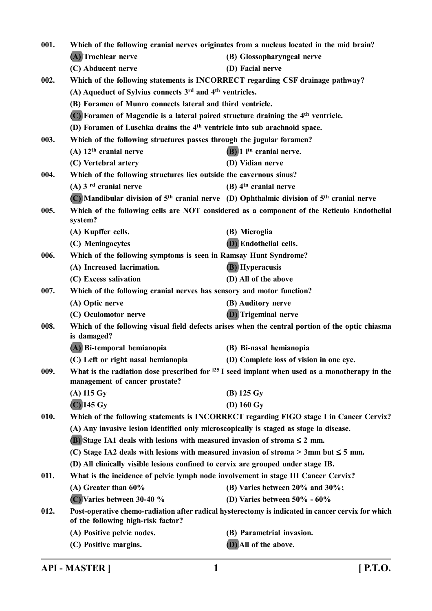| Which of the following cranial nerves originates from a nucleus located in the mid brain?<br>001. |                                                                                               |                                                                                                   |
|---------------------------------------------------------------------------------------------------|-----------------------------------------------------------------------------------------------|---------------------------------------------------------------------------------------------------|
|                                                                                                   | (A) Trochlear nerve                                                                           | (B) Glossopharyngeal nerve                                                                        |
|                                                                                                   | (C) Abducent nerve                                                                            | (D) Facial nerve                                                                                  |
| 002.                                                                                              | Which of the following statements is INCORRECT regarding CSF drainage pathway?                |                                                                                                   |
|                                                                                                   | (A) Aqueduct of Sylvius connects 3 <sup>rd</sup> and 4 <sup>th</sup> ventricles.              |                                                                                                   |
|                                                                                                   | (B) Foramen of Munro connects lateral and third ventricle.                                    |                                                                                                   |
|                                                                                                   | (C) Foramen of Magendie is a lateral paired structure draining the 4 <sup>th</sup> ventricle. |                                                                                                   |
|                                                                                                   | (D) Foramen of Luschka drains the 4 <sup>th</sup> ventricle into sub arachnoid space.         |                                                                                                   |
| 003.                                                                                              | Which of the following structures passes through the jugular foramen?                         |                                                                                                   |
|                                                                                                   | $(A)$ 12 <sup>th</sup> cranial nerve                                                          | $(B)$ 1 $Itn$ cranial nerve.                                                                      |
|                                                                                                   | (C) Vertebral artery                                                                          | (D) Vidian nerve                                                                                  |
| 004.                                                                                              | Which of the following structures lies outside the cavernous sinus?                           |                                                                                                   |
|                                                                                                   | (A) $3rd$ cranial nerve                                                                       | $(B)$ 4 <sup>th</sup> cranial nerve                                                               |
|                                                                                                   |                                                                                               | (C) Mandibular division of $5th$ cranial nerve (D) Ophthalmic division of $5th$ cranial nerve     |
| 005.                                                                                              | system?                                                                                       | Which of the following cells are NOT considered as a component of the Reticulo Endothelial        |
|                                                                                                   | (A) Kupffer cells.                                                                            | (B) Microglia                                                                                     |
|                                                                                                   | (C) Meningocytes                                                                              | <b>(D)</b> Endothelial cells.                                                                     |
| 006.                                                                                              | Which of the following symptoms is seen in Ramsay Hunt Syndrome?                              |                                                                                                   |
|                                                                                                   | (A) Increased lacrimation.                                                                    | <b>(B)</b> Hyperacusis                                                                            |
|                                                                                                   | (C) Excess salivation                                                                         | (D) All of the above                                                                              |
| 007.                                                                                              | Which of the following cranial nerves has sensory and motor function?                         |                                                                                                   |
|                                                                                                   | (A) Optic nerve                                                                               | (B) Auditory nerve                                                                                |
|                                                                                                   | (C) Oculomotor nerve                                                                          | <b>(D)</b> Trigeminal nerve                                                                       |
| 008.                                                                                              | is damaged?                                                                                   | Which of the following visual field defects arises when the central portion of the optic chiasma  |
|                                                                                                   | (A) Bi-temporal hemianopia                                                                    | (B) Bi-nasal hemianopia                                                                           |
|                                                                                                   | (C) Left or right nasal hemianopia                                                            | (D) Complete loss of vision in one eye.                                                           |
| 009.                                                                                              | management of cancer prostate?                                                                | What is the radiation dose prescribed for $125$ I seed implant when used as a monotherapy in the  |
|                                                                                                   | $(A)$ 115 Gy                                                                                  | $(B)$ 125 Gy                                                                                      |
|                                                                                                   | $(C)$ 145 Gy                                                                                  | $(D)$ 160 Gy                                                                                      |
| 010.                                                                                              |                                                                                               | Which of the following statements is INCORRECT regarding FIGO stage I in Cancer Cervix?           |
|                                                                                                   | (A) Any invasive lesion identified only microscopically is staged as stage la disease.        |                                                                                                   |
|                                                                                                   | <b>(B)</b> Stage IA1 deals with lesions with measured invasion of stroma $\leq 2$ mm.         |                                                                                                   |
|                                                                                                   | (C) Stage IA2 deals with lesions with measured invasion of stroma $>$ 3mm but $\leq$ 5 mm.    |                                                                                                   |
|                                                                                                   | (D) All clinically visible lesions confined to cervix are grouped under stage IB.             |                                                                                                   |
| 011.                                                                                              | What is the incidence of pelvic lymph node involvement in stage III Cancer Cervix?            |                                                                                                   |
|                                                                                                   | (A) Greater than $60\%$                                                                       | (B) Varies between 20% and 30%;                                                                   |
|                                                                                                   | (C) Varies between 30-40 %                                                                    | (D) Varies between $50\%$ - $60\%$                                                                |
| 012.                                                                                              | of the following high-risk factor?                                                            | Post-operative chemo-radiation after radical hysterectomy is indicated in cancer cervix for which |
|                                                                                                   | (A) Positive pelvic nodes.                                                                    | (B) Parametrial invasion.                                                                         |
|                                                                                                   | (C) Positive margins.                                                                         | (D) All of the above.                                                                             |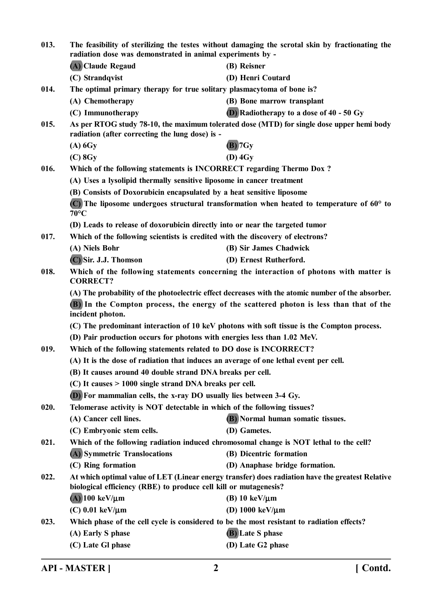| 013. | The feasibility of sterilizing the testes without damaging the scrotal skin by fractionating the<br>radiation dose was demonstrated in animal experiments by - |                                                                                                      |
|------|----------------------------------------------------------------------------------------------------------------------------------------------------------------|------------------------------------------------------------------------------------------------------|
|      | (A) Claude Regaud                                                                                                                                              | (B) Reisner                                                                                          |
|      | (C) Strandqvist                                                                                                                                                | (D) Henri Coutard                                                                                    |
| 014. | The optimal primary therapy for true solitary plasmacytoma of bone is?                                                                                         |                                                                                                      |
|      | (A) Chemotherapy                                                                                                                                               | (B) Bone marrow transplant                                                                           |
|      | (C) Immunotherapy                                                                                                                                              | (D) Radiotherapy to a dose of $40 - 50$ Gy                                                           |
| 015. | radiation (after correcting the lung dose) is -                                                                                                                | As per RTOG study 78-10, the maximum tolerated dose (MTD) for single dose upper hemi body            |
|      | $(A)$ 6Gy                                                                                                                                                      | $(B)$ 7 Gy                                                                                           |
|      | $(C)$ 8Gy                                                                                                                                                      | $(D)$ 4Gy                                                                                            |
| 016. | Which of the following statements is INCORRECT regarding Thermo Dox?                                                                                           |                                                                                                      |
|      | (A) Uses a lysolipid thermally sensitive liposome in cancer treatment                                                                                          |                                                                                                      |
|      | (B) Consists of Doxorubicin encapsulated by a heat sensitive liposome                                                                                          |                                                                                                      |
|      | $70^{\circ}$ C                                                                                                                                                 | $(C)$ The liposome undergoes structural transformation when heated to temperature of 60 $\degree$ to |
|      | (D) Leads to release of doxorubicin directly into or near the targeted tumor                                                                                   |                                                                                                      |
| 017. | Which of the following scientists is credited with the discovery of electrons?                                                                                 |                                                                                                      |
|      | (A) Niels Bohr                                                                                                                                                 | (B) Sir James Chadwick                                                                               |
|      | (C) Sir. J.J. Thomson                                                                                                                                          | (D) Ernest Rutherford.                                                                               |
| 018. | <b>CORRECT?</b>                                                                                                                                                | Which of the following statements concerning the interaction of photons with matter is               |
|      |                                                                                                                                                                | (A) The probability of the photoelectric effect decreases with the atomic number of the absorber.    |
|      | incident photon.                                                                                                                                               | (B) In the Compton process, the energy of the scattered photon is less than that of the              |
|      |                                                                                                                                                                | (C) The predominant interaction of 10 keV photons with soft tissue is the Compton process.           |
|      | (D) Pair production occurs for photons with energies less than 1.02 MeV.                                                                                       |                                                                                                      |
| 019. | Which of the following statements related to DO dose is INCORRECT?                                                                                             |                                                                                                      |
|      | (A) It is the dose of radiation that induces an average of one lethal event per cell.                                                                          |                                                                                                      |
|      | (B) It causes around 40 double strand DNA breaks per cell.                                                                                                     |                                                                                                      |
|      | $(C)$ It causes > 1000 single strand DNA breaks per cell.                                                                                                      |                                                                                                      |
|      | (D) For mammalian cells, the x-ray DO usually lies between 3-4 Gy.                                                                                             |                                                                                                      |
| 020. | Telomerase activity is NOT detectable in which of the following tissues?                                                                                       |                                                                                                      |
|      | (A) Cancer cell lines.                                                                                                                                         | (B) Normal human somatic tissues.                                                                    |
|      | (C) Embryonic stem cells.                                                                                                                                      | (D) Gametes.                                                                                         |
| 021. | Which of the following radiation induced chromosomal change is NOT lethal to the cell?                                                                         |                                                                                                      |
|      | (A) Symmetric Translocations                                                                                                                                   | (B) Dicentric formation                                                                              |
|      | (C) Ring formation                                                                                                                                             | (D) Anaphase bridge formation.                                                                       |
| 022. |                                                                                                                                                                | At which optimal value of LET (Linear energy transfer) does radiation have the greatest Relative     |
|      | biological efficiency (RBE) to produce cell kill or mutagenesis?                                                                                               |                                                                                                      |
|      | $(A)$ 100 keV/ $\mu$ m                                                                                                                                         | (B) 10 keV/ $\mu$ m                                                                                  |
|      | $(C)$ 0.01 keV/ $\mu$ m                                                                                                                                        | (D) $1000 \text{ keV}/\mu \text{m}$                                                                  |
| 023. | Which phase of the cell cycle is considered to be the most resistant to radiation effects?                                                                     |                                                                                                      |
|      | (A) Early S phase                                                                                                                                              | (B) Late S phase                                                                                     |
|      | (C) Late Gl phase                                                                                                                                              | (D) Late G2 phase                                                                                    |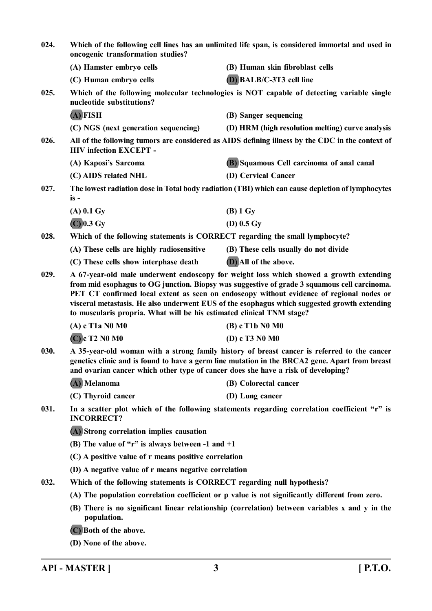|      | Which of the following cell lines has an unlimited life span, is considered immortal and used in<br>oncogenic transformation studies?                                                                                                                                                                                                                                                                                                                       |                                                                                                                                                                                               |
|------|-------------------------------------------------------------------------------------------------------------------------------------------------------------------------------------------------------------------------------------------------------------------------------------------------------------------------------------------------------------------------------------------------------------------------------------------------------------|-----------------------------------------------------------------------------------------------------------------------------------------------------------------------------------------------|
|      | (A) Hamster embryo cells                                                                                                                                                                                                                                                                                                                                                                                                                                    | (B) Human skin fibroblast cells                                                                                                                                                               |
|      | (C) Human embryo cells                                                                                                                                                                                                                                                                                                                                                                                                                                      | (D) BALB/C-3T3 cell line                                                                                                                                                                      |
| 025. | nucleotide substitutions?                                                                                                                                                                                                                                                                                                                                                                                                                                   | Which of the following molecular technologies is NOT capable of detecting variable single                                                                                                     |
|      | $(A)$ FISH                                                                                                                                                                                                                                                                                                                                                                                                                                                  | (B) Sanger sequencing                                                                                                                                                                         |
|      | (C) NGS (next generation sequencing)                                                                                                                                                                                                                                                                                                                                                                                                                        | (D) HRM (high resolution melting) curve analysis                                                                                                                                              |
| 026. | <b>HIV</b> infection EXCEPT -                                                                                                                                                                                                                                                                                                                                                                                                                               | All of the following tumors are considered as AIDS defining illness by the CDC in the context of                                                                                              |
|      | (A) Kaposi's Sarcoma                                                                                                                                                                                                                                                                                                                                                                                                                                        | (B) Squamous Cell carcinoma of anal canal                                                                                                                                                     |
|      | (C) AIDS related NHL                                                                                                                                                                                                                                                                                                                                                                                                                                        | (D) Cervical Cancer                                                                                                                                                                           |
| 027. | $is -$                                                                                                                                                                                                                                                                                                                                                                                                                                                      | The lowest radiation dose in Total body radiation (TBI) which can cause depletion of lymphocytes                                                                                              |
|      | $(A)$ 0.1 Gy                                                                                                                                                                                                                                                                                                                                                                                                                                                | $(B)$ 1 Gy                                                                                                                                                                                    |
|      | $(C)$ 0.3 Gy                                                                                                                                                                                                                                                                                                                                                                                                                                                | (D) $0.5 \text{ Gy}$                                                                                                                                                                          |
| 028. | Which of the following statements is CORRECT regarding the small lymphocyte?                                                                                                                                                                                                                                                                                                                                                                                |                                                                                                                                                                                               |
|      | (A) These cells are highly radiosensitive                                                                                                                                                                                                                                                                                                                                                                                                                   | (B) These cells usually do not divide                                                                                                                                                         |
|      | (C) These cells show interphase death                                                                                                                                                                                                                                                                                                                                                                                                                       | (D) All of the above.                                                                                                                                                                         |
| 029. | A 67-year-old male underwent endoscopy for weight loss which showed a growth extending<br>from mid esophagus to OG junction. Biopsy was suggestive of grade 3 squamous cell carcinoma.<br>PET CT confirmed local extent as seen on endoscopy without evidence of regional nodes or<br>visceral metastasis. He also underwent EUS of the esophagus which suggested growth extending<br>to muscularis propria. What will be his estimated clinical TNM stage? |                                                                                                                                                                                               |
|      | $(A) c$ T <sub>1</sub> a N <sub>0</sub> M <sub>0</sub>                                                                                                                                                                                                                                                                                                                                                                                                      | $(B)$ c T1b N0 M0                                                                                                                                                                             |
|      | $(C)$ c T2 N0 M0                                                                                                                                                                                                                                                                                                                                                                                                                                            | (D) c T3 N0 M0                                                                                                                                                                                |
| 030. |                                                                                                                                                                                                                                                                                                                                                                                                                                                             |                                                                                                                                                                                               |
|      | and ovarian cancer which other type of cancer does she have a risk of developing?                                                                                                                                                                                                                                                                                                                                                                           | A 35-year-old woman with a strong family history of breast cancer is referred to the cancer<br>genetics clinic and is found to have a germ line mutation in the BRCA2 gene. Apart from breast |
|      | (A) Melanoma                                                                                                                                                                                                                                                                                                                                                                                                                                                | (B) Colorectal cancer                                                                                                                                                                         |
|      | (C) Thyroid cancer                                                                                                                                                                                                                                                                                                                                                                                                                                          | (D) Lung cancer                                                                                                                                                                               |
| 031. | <b>INCORRECT?</b>                                                                                                                                                                                                                                                                                                                                                                                                                                           | In a scatter plot which of the following statements regarding correlation coefficient "r" is                                                                                                  |
|      | (A) Strong correlation implies causation                                                                                                                                                                                                                                                                                                                                                                                                                    |                                                                                                                                                                                               |
|      | (B) The value of "r" is always between -1 and $+1$                                                                                                                                                                                                                                                                                                                                                                                                          |                                                                                                                                                                                               |
|      | (C) A positive value of r means positive correlation                                                                                                                                                                                                                                                                                                                                                                                                        |                                                                                                                                                                                               |
|      | (D) A negative value of r means negative correlation                                                                                                                                                                                                                                                                                                                                                                                                        |                                                                                                                                                                                               |
| 032. | Which of the following statements is CORRECT regarding null hypothesis?                                                                                                                                                                                                                                                                                                                                                                                     |                                                                                                                                                                                               |
|      |                                                                                                                                                                                                                                                                                                                                                                                                                                                             | (A) The population correlation coefficient or p value is not significantly different from zero.                                                                                               |
|      | population.                                                                                                                                                                                                                                                                                                                                                                                                                                                 | (B) There is no significant linear relationship (correlation) between variables x and y in the                                                                                                |
|      | (C) Both of the above.                                                                                                                                                                                                                                                                                                                                                                                                                                      |                                                                                                                                                                                               |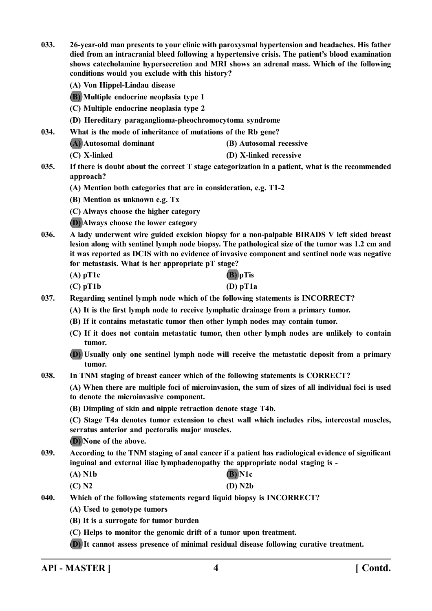- **033. 26-year-old man presents to your clinic with paroxysmal hypertension and headaches. His father died from an intracranial bleed following a hypertensive crisis. The patient's blood examination shows catecholamine hypersecretion and MRI shows an adrenal mass. Which of the following conditions would you exclude with this history?**
	- **(A) Von Hippel-Lindau disease**
	- **(B) Multiple endocrine neoplasia type 1**
	- **(C) Multiple endocrine neoplasia type 2**
	- **(D) Hereditary paraganglioma-pheochromocytoma syndrome**
- **034. What is the mode of inheritance of mutations of the Rb gene?**
	- **(A) Autosomal dominant (B) Autosomal recessive**
	- **(C) X-linked (D) X-linked recessive**
- **035. If there is doubt about the correct T stage categorization in a patient, what is the recommended approach?**
	- **(A) Mention both categories that are in consideration, e.g. T1-2**
	- **(B) Mention as unknown e.g. Tx**
	- **(C) Always choose the higher category**
	- **(D) Always choose the lower category**
- **036. A lady underwent wire guided excision biopsy for a non-palpable BIRADS V left sided breast lesion along with sentinel lymph node biopsy. The pathological size of the tumor was 1.2 cm and it was reported as DCIS with no evidence of invasive component and sentinel node was negative for metastasis. What is her appropriate pT stage?**
	- **(A) pT1c (B) pTis**
	- **(C) pT1b (D) pT1a**
- **037. Regarding sentinel lymph node which of the following statements is INCORRECT?**
	- **(A) It is the first lymph node to receive lymphatic drainage from a primary tumor.**
	- **(B) If it contains metastatic tumor then other lymph nodes may contain tumor.**
	- **(C) If it does not contain metastatic tumor, then other lymph nodes are unlikely to contain tumor.**
	- **(D) Usually only one sentinel lymph node will receive the metastatic deposit from a primary tumor.**
- **038. In TNM staging of breast cancer which of the following statements is CORRECT?**

**(A) When there are multiple foci of microinvasion, the sum of sizes of all individual foci is used to denote the microinvasive component.**

**(B) Dimpling of skin and nipple retraction denote stage T4b.**

**(C) Stage T4a denotes tumor extension to chest wall which includes ribs, intercostal muscles, serratus anterior and pectoralis major muscles.**

**(D) None of the above.**

- **039. According to the TNM staging of anal cancer if a patient has radiological evidence of significant inguinal and external iliac lymphadenopathy the appropriate nodal staging is -**
	- **(A) N1b (B) N1c (C) N2 (D) N2b**
	-
- **040. Which of the following statements regard liquid biopsy is INCORRECT?**
	- **(A) Used to genotype tumors**
	- **(B) It is a surrogate for tumor burden**
	- **(C) Helps to monitor the genomic drift of a tumor upon treatment.**
	- **(D) It cannot assess presence of minimal residual disease following curative treatment.**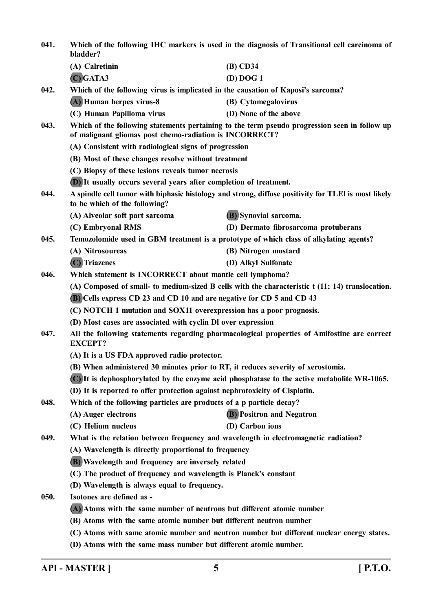| 041. | Which of the following IHC markers is used in the diagnosis of Transitional cell carcinoma of<br>bladder? |                                                                                                     |
|------|-----------------------------------------------------------------------------------------------------------|-----------------------------------------------------------------------------------------------------|
|      | (A) Calretinin                                                                                            | (B) CD34                                                                                            |
|      | $(C)$ GATA3                                                                                               | (D) DOG1                                                                                            |
| 042. | Which of the following virus is implicated in the causation of Kaposi's sarcoma?                          |                                                                                                     |
|      | (A) Human herpes virus-8                                                                                  | (B) Cytomegalovirus                                                                                 |
|      | (C) Human Papilloma virus                                                                                 | (D) None of the above                                                                               |
| 043. | of malignant gliomas post chemo-radiation is INCORRECT?                                                   | Which of the following statements pertaining to the term pseudo progression seen in follow up       |
|      | (A) Consistent with radiological signs of progression                                                     |                                                                                                     |
|      | (B) Most of these changes resolve without treatment                                                       |                                                                                                     |
|      | (C) Biopsy of these lesions reveals tumor necrosis                                                        |                                                                                                     |
|      | (D) It usually occurs several years after completion of treatment.                                        |                                                                                                     |
| 044. | to be which of the following?                                                                             | A spindle cell tumor with biphasic histology and strong, diffuse positivity for TLEI is most likely |
|      | (A) Alveolar soft part sarcoma                                                                            | (B) Synovial sarcoma.                                                                               |
|      | (C) Embryonal RMS                                                                                         | (D) Dermato fibrosarcoma protuberans                                                                |
| 045. | Temozolomide used in GBM treatment is a prototype of which class of alkylating agents?                    |                                                                                                     |
|      | (A) Nitrosoureas                                                                                          | (B) Nitrogen mustard                                                                                |
|      | (C) Triazenes                                                                                             | (D) Alkyl Sulfonate                                                                                 |
| 046. | Which statement is INCORRECT about mantle cell lymphoma?                                                  |                                                                                                     |
|      | (A) Composed of small- to medium-sized B cells with the characteristic t (11; 14) translocation.          |                                                                                                     |
|      | (B) Cells express CD 23 and CD 10 and are negative for CD 5 and CD 43                                     |                                                                                                     |
|      | (C) NOTCH 1 mutation and SOX11 overexpression has a poor prognosis.                                       |                                                                                                     |
|      | (D) Most cases are associated with cyclin Dl over expression                                              |                                                                                                     |
| 047. | <b>EXCEPT?</b>                                                                                            | All the following statements regarding pharmacological properties of Amifostine are correct         |
|      | (A) It is a US FDA approved radio protector.                                                              |                                                                                                     |
|      | (B) When administered 30 minutes prior to RT, it reduces severity of xerostomia.                          |                                                                                                     |
|      |                                                                                                           | (C) It is dephosphorylated by the enzyme acid phosphatase to the active metabolite WR-1065.         |
|      | (D) It is reported to offer protection against nephrotoxicity of Cisplatin.                               |                                                                                                     |
| 048. | Which of the following particles are products of a p particle decay?                                      |                                                                                                     |
|      | (A) Auger electrons                                                                                       | <b>(B)</b> Positron and Negatron                                                                    |
|      | (C) Helium nucleus                                                                                        | (D) Carbon ions                                                                                     |
| 049. | What is the relation between frequency and wavelength in electromagnetic radiation?                       |                                                                                                     |
|      | (A) Wavelength is directly proportional to frequency                                                      |                                                                                                     |
|      | (B) Wavelength and frequency are inversely related                                                        |                                                                                                     |
|      | (C) The product of frequency and wavelength is Planck's constant                                          |                                                                                                     |
|      | (D) Wavelength is always equal to frequency.                                                              |                                                                                                     |
| 050. | Isotones are defined as -                                                                                 |                                                                                                     |
|      | (A) Atoms with the same number of neutrons but different atomic number                                    |                                                                                                     |
|      | (B) Atoms with the same atomic number but different neutron number                                        |                                                                                                     |
|      |                                                                                                           | (C) Atoms with same atomic number and neutron number but different nuclear energy states.           |
|      | (D) Atoms with the same mass number but different atomic number.                                          |                                                                                                     |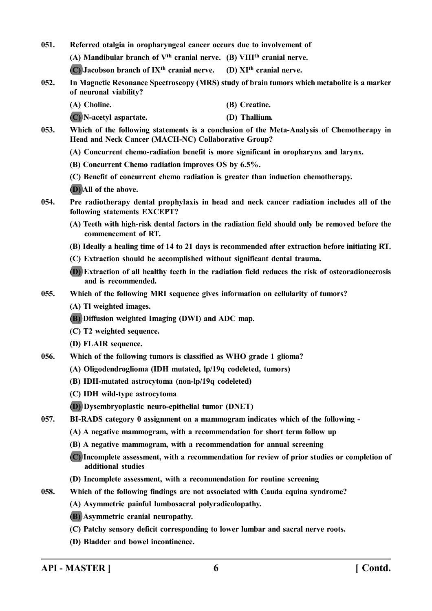**051. Referred otalgia in oropharyngeal cancer occurs due to involvement of**

**(A) Mandibular branch of Vth cranial nerve. (B) VIIIth cranial nerve.**

**(C) Jacobson branch of IXth cranial nerve. (D) XIth cranial nerve.**

**052. In Magnetic Resonance Spectroscopy (MRS) study of brain tumors which metabolite is a marker of neuronal viability?**

**(A) Choline. (B) Creatine.**

**(C) N-acetyl aspartate. (D) Thallium.**

- **053. Which of the following statements is a conclusion of the Meta-Analysis of Chemotherapy in Head and Neck Cancer (MACH-NC) Collaborative Group?**
	- **(A) Concurrent chemo-radiation benefit is more significant in oropharynx and larynx.**
	- **(B) Concurrent Chemo radiation improves OS by 6.5%.**
	- **(C) Benefit of concurrent chemo radiation is greater than induction chemotherapy.**
	- **(D) All of the above.**
- **054. Pre radiotherapy dental prophylaxis in head and neck cancer radiation includes all of the following statements EXCEPT?**
	- **(A) Teeth with high-risk dental factors in the radiation field should only be removed before the commencement of RT.**
	- **(B) Ideally a healing time of 14 to 21 days is recommended after extraction before initiating RT.**
	- **(C) Extraction should be accomplished without significant dental trauma.**
	- **(D) Extraction of all healthy teeth in the radiation field reduces the risk of osteoradionecrosis and is recommended.**
- **055. Which of the following MRI sequence gives information on cellularity of tumors?**
	- **(A) Tl weighted images.**
	- **(B) Diffusion weighted Imaging (DWI) and ADC map.**
	- **(C) T2 weighted sequence.**
	- **(D) FLAIR sequence.**
- **056. Which of the following tumors is classified as WHO grade 1 glioma?**
	- **(A) Oligodendroglioma (IDH mutated, lp/19q codeleted, tumors)**
	- **(B) IDH-mutated astrocytoma (non-lp/19q codeleted)**
	- **(C) IDH wild-type astrocytoma**
	- **(D) Dysembryoplastic neuro-epithelial tumor (DNET)**
- **057. BI-RADS category 0 assignment on a mammogram indicates which of the following -**
	- **(A) A negative mammogram, with a recommendation for short term follow up**
	- **(B) A negative mammogram, with a recommendation for annual screening**
	- **(C) Incomplete assessment, with a recommendation for review of prior studies or completion of additional studies**
	- **(D) Incomplete assessment, with a recommendation for routine screening**
- **058. Which of the following findings are not associated with Cauda equina syndrome?**
	- **(A) Asymmetric painful lumbosacral polyradiculopathy.**
	- **(B) Asymmetric cranial neuropathy.**
	- **(C) Patchy sensory deficit corresponding to lower lumbar and sacral nerve roots.**
	- **(D) Bladder and bowel incontinence.**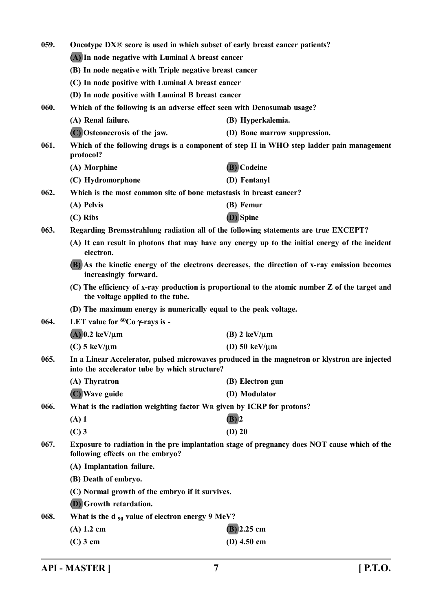| 059.                                                                                                           | Oncotype DX® score is used in which subset of early breast cancer patients?<br>(A) In node negative with Luminal A breast cancer |                                                                                                 |  |
|----------------------------------------------------------------------------------------------------------------|----------------------------------------------------------------------------------------------------------------------------------|-------------------------------------------------------------------------------------------------|--|
|                                                                                                                |                                                                                                                                  |                                                                                                 |  |
|                                                                                                                | (B) In node negative with Triple negative breast cancer                                                                          |                                                                                                 |  |
|                                                                                                                | (C) In node positive with Luminal A breast cancer                                                                                |                                                                                                 |  |
|                                                                                                                | (D) In node positive with Luminal B breast cancer                                                                                |                                                                                                 |  |
| 060.                                                                                                           | Which of the following is an adverse effect seen with Denosumab usage?                                                           |                                                                                                 |  |
|                                                                                                                | (A) Renal failure.                                                                                                               | (B) Hyperkalemia.                                                                               |  |
|                                                                                                                | (C) Osteonecrosis of the jaw.                                                                                                    | (D) Bone marrow suppression.                                                                    |  |
| 061.<br>Which of the following drugs is a component of step II in WHO step ladder pain management<br>protocol? |                                                                                                                                  |                                                                                                 |  |
|                                                                                                                | (A) Morphine                                                                                                                     | (B) Codeine                                                                                     |  |
|                                                                                                                | (C) Hydromorphone                                                                                                                | (D) Fentanyl                                                                                    |  |
| 062.                                                                                                           | Which is the most common site of bone metastasis in breast cancer?                                                               |                                                                                                 |  |
|                                                                                                                | (A) Pelvis                                                                                                                       | (B) Femur                                                                                       |  |
|                                                                                                                | $(C)$ Ribs                                                                                                                       | (D) Spine                                                                                       |  |
| 063.                                                                                                           | Regarding Bremsstrahlung radiation all of the following statements are true EXCEPT?                                              |                                                                                                 |  |
|                                                                                                                | electron.                                                                                                                        | (A) It can result in photons that may have any energy up to the initial energy of the incident  |  |
|                                                                                                                | increasingly forward.                                                                                                            | (B) As the kinetic energy of the electrons decreases, the direction of x-ray emission becomes   |  |
|                                                                                                                | the voltage applied to the tube.                                                                                                 | (C) The efficiency of x-ray production is proportional to the atomic number Z of the target and |  |
|                                                                                                                | (D) The maximum energy is numerically equal to the peak voltage.                                                                 |                                                                                                 |  |
| 064.                                                                                                           | LET value for ${}^{60}Co$ $\gamma$ -rays is -                                                                                    |                                                                                                 |  |
|                                                                                                                | $(A)$ 0.2 keV/ $\mu$ m                                                                                                           | $(B)$ 2 keV/ $\mu$ m                                                                            |  |
|                                                                                                                | $(C)$ 5 keV/ $\mu$ m                                                                                                             | (D) $50 \text{ keV}/\mu \text{m}$                                                               |  |
| 065.                                                                                                           | into the accelerator tube by which structure?                                                                                    | In a Linear Accelerator, pulsed microwaves produced in the magnetron or klystron are injected   |  |
|                                                                                                                | (A) Thyratron                                                                                                                    | (B) Electron gun                                                                                |  |
|                                                                                                                | (C) Wave guide                                                                                                                   | (D) Modulator                                                                                   |  |
| 066.                                                                                                           | What is the radiation weighting factor WR given by ICRP for protons?                                                             |                                                                                                 |  |
|                                                                                                                | $(A)$ 1                                                                                                                          | $(B)$ 2                                                                                         |  |
|                                                                                                                | $(C)$ 3                                                                                                                          | $(D)$ 20                                                                                        |  |
| 067.                                                                                                           | following effects on the embryo?                                                                                                 | Exposure to radiation in the pre implantation stage of pregnancy does NOT cause which of the    |  |
|                                                                                                                | (A) Implantation failure.                                                                                                        |                                                                                                 |  |
|                                                                                                                | (B) Death of embryo.                                                                                                             |                                                                                                 |  |
|                                                                                                                | (C) Normal growth of the embryo if it survives.                                                                                  |                                                                                                 |  |
|                                                                                                                | <b>(D)</b> Growth retardation.                                                                                                   |                                                                                                 |  |
| 068.                                                                                                           | What is the d $_{90}$ value of electron energy 9 MeV?                                                                            |                                                                                                 |  |
|                                                                                                                | $(A)$ 1.2 cm                                                                                                                     | $(B)$ 2.25 cm                                                                                   |  |
|                                                                                                                | $(C)$ 3 cm                                                                                                                       | (D) $4.50$ cm                                                                                   |  |
|                                                                                                                |                                                                                                                                  |                                                                                                 |  |

**API - MASTER ] 7 [ P.T.O.**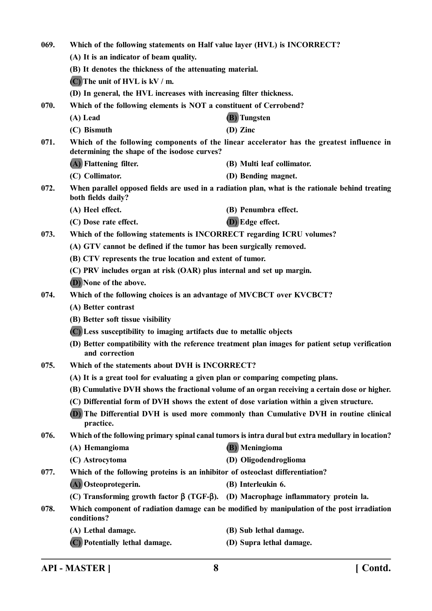| 069.                                                                                                                                              | Which of the following statements on Half value layer (HVL) is INCORRECT?                       |                                                                                                    |
|---------------------------------------------------------------------------------------------------------------------------------------------------|-------------------------------------------------------------------------------------------------|----------------------------------------------------------------------------------------------------|
|                                                                                                                                                   | (A) It is an indicator of beam quality.                                                         |                                                                                                    |
|                                                                                                                                                   | (B) It denotes the thickness of the attenuating material.                                       |                                                                                                    |
|                                                                                                                                                   | $(C)$ The unit of HVL is kV / m.                                                                |                                                                                                    |
|                                                                                                                                                   | (D) In general, the HVL increases with increasing filter thickness.                             |                                                                                                    |
| 070.                                                                                                                                              | Which of the following elements is NOT a constituent of Cerrobend?                              |                                                                                                    |
|                                                                                                                                                   | (A) Lead                                                                                        | (B) Tungsten                                                                                       |
|                                                                                                                                                   | (C) Bismuth                                                                                     | $(D)$ Zinc                                                                                         |
| Which of the following components of the linear accelerator has the greatest influence in<br>071.<br>determining the shape of the isodose curves? |                                                                                                 |                                                                                                    |
|                                                                                                                                                   | (A) Flattening filter.                                                                          | (B) Multi leaf collimator.                                                                         |
|                                                                                                                                                   | (C) Collimator.                                                                                 | (D) Bending magnet.                                                                                |
| 072.                                                                                                                                              | both fields daily?                                                                              | When parallel opposed fields are used in a radiation plan, what is the rationale behind treating   |
|                                                                                                                                                   | (A) Heel effect.                                                                                | (B) Penumbra effect.                                                                               |
|                                                                                                                                                   | (C) Dose rate effect.                                                                           | (D) Edge effect.                                                                                   |
| 073.                                                                                                                                              | Which of the following statements is INCORRECT regarding ICRU volumes?                          |                                                                                                    |
|                                                                                                                                                   | (A) GTV cannot be defined if the tumor has been surgically removed.                             |                                                                                                    |
|                                                                                                                                                   | (B) CTV represents the true location and extent of tumor.                                       |                                                                                                    |
|                                                                                                                                                   | (C) PRV includes organ at risk (OAR) plus internal and set up margin.                           |                                                                                                    |
|                                                                                                                                                   | (D) None of the above.                                                                          |                                                                                                    |
| 074.                                                                                                                                              | Which of the following choices is an advantage of MVCBCT over KVCBCT?                           |                                                                                                    |
|                                                                                                                                                   | (A) Better contrast                                                                             |                                                                                                    |
|                                                                                                                                                   | (B) Better soft tissue visibility                                                               |                                                                                                    |
|                                                                                                                                                   | (C) Less susceptibility to imaging artifacts due to metallic objects                            |                                                                                                    |
|                                                                                                                                                   | and correction                                                                                  | (D) Better compatibility with the reference treatment plan images for patient setup verification   |
| 075.                                                                                                                                              | Which of the statements about DVH is INCORRECT?                                                 |                                                                                                    |
|                                                                                                                                                   | (A) It is a great tool for evaluating a given plan or comparing competing plans.                |                                                                                                    |
|                                                                                                                                                   |                                                                                                 | (B) Cumulative DVH shows the fractional volume of an organ receiving a certain dose or higher.     |
|                                                                                                                                                   |                                                                                                 | (C) Differential form of DVH shows the extent of dose variation within a given structure.          |
|                                                                                                                                                   | practice.                                                                                       | (D) The Differential DVH is used more commonly than Cumulative DVH in routine clinical             |
| 076.                                                                                                                                              |                                                                                                 | Which of the following primary spinal canal tumors is intra dural but extra medullary in location? |
|                                                                                                                                                   | (A) Hemangioma                                                                                  | (B) Meningioma                                                                                     |
|                                                                                                                                                   | (C) Astrocytoma                                                                                 | (D) Oligodendroglioma                                                                              |
| 077.                                                                                                                                              | Which of the following proteins is an inhibitor of osteoclast differentiation?                  |                                                                                                    |
|                                                                                                                                                   | (A) Osteoprotegerin.                                                                            | (B) Interleukin 6.                                                                                 |
|                                                                                                                                                   | (C) Transforming growth factor $\beta$ (TGF- $\beta$ ). (D) Macrophage inflammatory protein la. |                                                                                                    |
| 078.                                                                                                                                              | conditions?                                                                                     | Which component of radiation damage can be modified by manipulation of the post irradiation        |
|                                                                                                                                                   | (A) Lethal damage.                                                                              | (B) Sub lethal damage.                                                                             |
|                                                                                                                                                   | (C) Potentially lethal damage.                                                                  | (D) Supra lethal damage.                                                                           |

**API - MASTER ] 8 [ Contd.**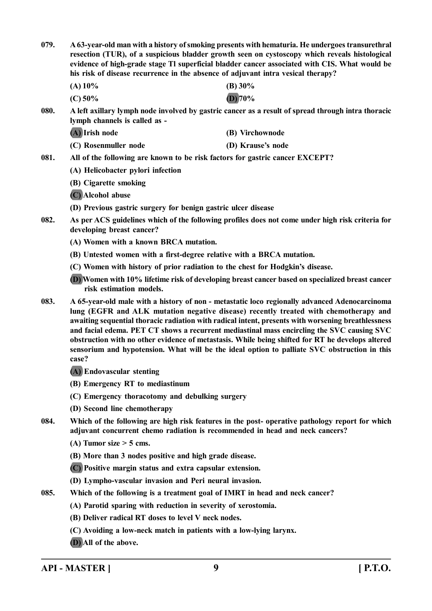**079. A 63-year-old man with a history of smoking presents with hematuria. He undergoes transurethral resection (TUR), of a suspicious bladder growth seen on cystoscopy which reveals histological evidence of high-grade stage Tl superficial bladder cancer associated with CIS. What would be his risk of disease recurrence in the absence of adjuvant intra vesical therapy?**

| (A) 10%   | (B) $30\%$ |
|-----------|------------|
| $(C)$ 50% | $(D)$ 70%  |

- **080. A left axillary lymph node involved by gastric cancer as a result of spread through intra thoracic lymph channels is called as -**
	- **(A) Irish node (B) Virchownode (C) Rosenmuller node (D) Krause's node**
- **081. All of the following are known to be risk factors for gastric cancer EXCEPT?**
	- **(A) Helicobacter pylori infection**
	- **(B) Cigarette smoking**
	- **(C) Alcohol abuse**
	- **(D) Previous gastric surgery for benign gastric ulcer disease**
- **082. As per ACS guidelines which of the following profiles does not come under high risk criteria for developing breast cancer?**
	- **(A) Women with a known BRCA mutation.**
	- **(B) Untested women with a first-degree relative with a BRCA mutation.**
	- **(C) Women with history of prior radiation to the chest for Hodgkin's disease.**
	- **(D) Women with 10% lifetime risk of developing breast cancer based on specialized breast cancer risk estimation models.**
- **083. A 65-year-old male with a history of non metastatic loco regionally advanced Adenocarcinoma lung (EGFR and ALK mutation negative disease) recently treated with chemotherapy and awaiting sequential thoracic radiation with radical intent, presents with worsening breathlessness and facial edema. PET CT shows a recurrent mediastinal mass encircling the SVC causing SVC obstruction with no other evidence of metastasis. While being shifted for RT he develops altered sensorium and hypotension. What will be the ideal option to palliate SVC obstruction in this case?**
	- **(A) Endovascular stenting**
	- **(B) Emergency RT to mediastinum**
	- **(C) Emergency thoracotomy and debulking surgery**
	- **(D) Second line chemotherapy**
- **084. Which of the following are high risk features in the post- operative pathology report for which adjuvant concurrent chemo radiation is recommended in head and neck cancers?**
	- **(A) Tumor size > 5 cms.**
	- **(B) More than 3 nodes positive and high grade disease.**
	- **(C) Positive margin status and extra capsular extension.**
	- **(D) Lympho-vascular invasion and Peri neural invasion.**
- **085. Which of the following is a treatment goal of IMRT in head and neck cancer?**
	- **(A) Parotid sparing with reduction in severity of xerostomia.**
	- **(B) Deliver radical RT doses to level V neck nodes.**
	- **(C) Avoiding a low-neck match in patients with a low-lying larynx.**
	- **(D) All of the above.**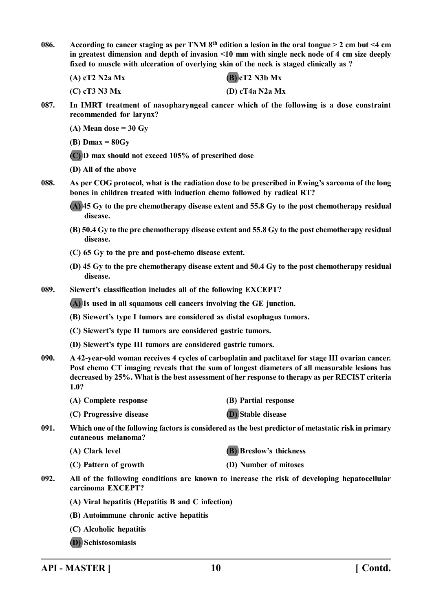**086. According to cancer staging as per TNM 8th edition a lesion in the oral tongue > 2 cm but <4 cm in greatest dimension and depth of invasion <10 mm with single neck node of 4 cm size deeply fixed to muscle with ulceration of overlying skin of the neck is staged clinically as ?**

**(A) cT2 N2a Mx (B) cT2 N3b Mx**

**(C) cT3 N3 Mx (D) cT4a N2a Mx**

**087. In IMRT treatment of nasopharyngeal cancer which of the following is a dose constraint recommended for larynx?**

**(A) Mean dose = 30 Gy**

**(B) Dmax = 80Gy**

**(C) D max should not exceed 105% of prescribed dose**

**(D) All of the above**

**088. As per COG protocol, what is the radiation dose to be prescribed in Ewing's sarcoma of the long bones in children treated with induction chemo followed by radical RT?**

**(A) 45 Gy to the pre chemotherapy disease extent and 55.8 Gy to the post chemotherapy residual disease.**

- **(B) 50.4 Gy to the pre chemotherapy disease extent and 55.8 Gy to the post chemotherapy residual disease.**
- **(C) 65 Gy to the pre and post-chemo disease extent.**
- **(D) 45 Gy to the pre chemotherapy disease extent and 50.4 Gy to the post chemotherapy residual disease.**

**089. Siewert's classification includes all of the following EXCEPT?**

**(A) Is used in all squamous cell cancers involving the GE junction.**

- **(B) Siewert's type I tumors are considered as distal esophagus tumors.**
- **(C) Siewert's type II tumors are considered gastric tumors.**
- **(D) Siewert's type III tumors are considered gastric tumors.**
- **090. A 42-year-old woman receives 4 cycles of carboplatin and paclitaxel for stage III ovarian cancer. Post chemo CT imaging reveals that the sum of longest diameters of all measurable lesions has decreased by 25%. What is the best assessment of her response to therapy as per RECIST criteria 1.0?**
	- **(A) Complete response (B) Partial response**
		-
	- **(C) Progressive disease (D) Stable disease**
- **091. Which one of the following factors is considered as the best predictor of metastatic risk in primary cutaneous melanoma?**
	- **(A) Clark level (B) Breslow's thickness**

**(C) Pattern of growth (D) Number of mitoses**

- **092. All of the following conditions are known to increase the risk of developing hepatocellular carcinoma EXCEPT?**
	- **(A) Viral hepatitis (Hepatitis B and C infection)**
	- **(B) Autoimmune chronic active hepatitis**
	- **(C) Alcoholic hepatitis**
	- **(D) Schistosomiasis**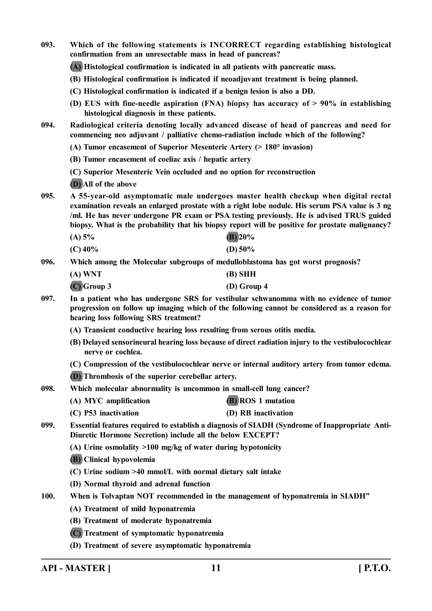**093. Which of the following statements is INCORRECT regarding establishing histological confirmation from an unresectable mass in head of pancreas? (A) Histological confirmation is indicated in all patients with pancreatic mass. (B) Histological confirmation is indicated if neoadjuvant treatment is being planned. (C) Histological confirmation is indicated if a benign lesion is also a DD. (D) EUS with fine-needle aspiration (FNA) biopsy has accuracy of > 90% in establishing histological diagnosis in these patients. 094. Radiological criteria denoting locally advanced disease of head of pancreas and need for commencing neo adjuvant / palliative chemo-radiation include which of the following? (A) Tumor encasement of Superior Mesenteric Artery (> 180° invasion) (B) Tumor encasement of coeliac axis / hepatic artery (C) Superior Mesenteric Vein occluded and no option for reconstruction (D) All of the above 095. A 55-year-old asymptomatic male undergoes master health checkup when digital rectal examination reveals an enlarged prostate with a right lobe nodule. His serum PSA value is 3 ng /ml. He has never undergone PR exam or PSA testing previously. He is advised TRUS guided biopsy. What is the probability that his biopsy report will be positive for prostate malignancy? (A) 5% (B) 20% (C) 40% (D) 50% 096. Which among the Molecular subgroups of medulloblastoma has got worst prognosis? (A) WNT (B) SHH (C) Group 3 (D) Group 4 097. In a patient who has undergone SRS for vestibular schwanomma with no evidence of tumor progression on follow up imaging which of the following cannot be considered as a reason for hearing loss following SRS treatment? (A) Transient conductive hearing loss resulting from serous otitis media. (B) Delayed sensorineural hearing loss because of direct radiation injury to the vestibulocochlear nerve or cochlea. (C) Compression of the vestibulocochlear nerve or internal auditory artery from tumor edema. (D) Thrombosis of the superior cerebellar artery. 098. Which molecular abnormality is uncommon in small-cell lung cancer? (A) MYC amplification (B) ROS 1 mutation (C) P53 inactivation (D) RB inactivation 099. Essential features required to establish a diagnosis of SIADH (Syndrome of Inappropriate Anti-Diuretic Hormone Secretion) include all the below EXCEPT? (A) Urine osmolality >100 mg/kg of water during hypotonicity (B) Clinical hypovolemia (C) Urine sodium >40 mmol/L with normal dietary salt intake (D) Normal thyroid and adrenal function 100. When is Tolvaptan NOT recommended in the management of hyponatremia in SIADH" (A) Treatment of mild hyponatremia (B) Treatment of moderate hyponatremia (C) Treatment of symptomatic hyponatremia (D) Treatment of severe asymptomatic hyponatremia**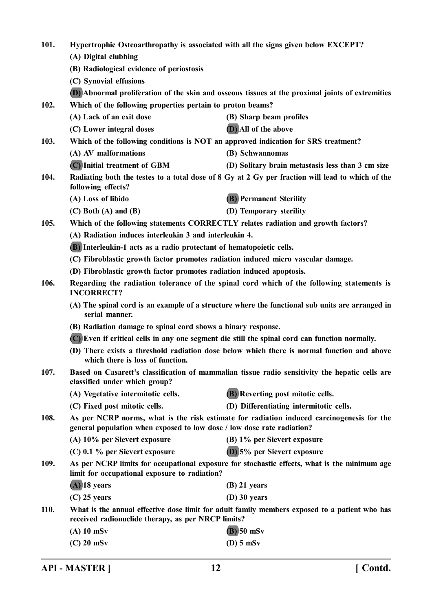| 101.                                                                                                                                    |                                                                                                                                                                     | Hypertrophic Osteoarthropathy is associated with all the signs given below EXCEPT?               |  |
|-----------------------------------------------------------------------------------------------------------------------------------------|---------------------------------------------------------------------------------------------------------------------------------------------------------------------|--------------------------------------------------------------------------------------------------|--|
|                                                                                                                                         | (A) Digital clubbing                                                                                                                                                |                                                                                                  |  |
|                                                                                                                                         | (B) Radiological evidence of periostosis                                                                                                                            |                                                                                                  |  |
|                                                                                                                                         | (C) Synovial effusions                                                                                                                                              |                                                                                                  |  |
|                                                                                                                                         |                                                                                                                                                                     | (D) Abnormal proliferation of the skin and osseous tissues at the proximal joints of extremities |  |
| 102.                                                                                                                                    | Which of the following properties pertain to proton beams?                                                                                                          |                                                                                                  |  |
|                                                                                                                                         | (A) Lack of an exit dose                                                                                                                                            | (B) Sharp beam profiles                                                                          |  |
|                                                                                                                                         | (C) Lower integral doses                                                                                                                                            | (D) All of the above                                                                             |  |
| 103.                                                                                                                                    |                                                                                                                                                                     | Which of the following conditions is NOT an approved indication for SRS treatment?               |  |
|                                                                                                                                         | (A) AV malformations                                                                                                                                                | (B) Schwannomas                                                                                  |  |
|                                                                                                                                         | (C) Initial treatment of GBM                                                                                                                                        | (D) Solitary brain metastasis less than 3 cm size                                                |  |
| 104.                                                                                                                                    | following effects?                                                                                                                                                  | Radiating both the testes to a total dose of 8 Gy at 2 Gy per fraction will lead to which of the |  |
|                                                                                                                                         | (A) Loss of libido                                                                                                                                                  | <b>(B)</b> Permanent Sterility                                                                   |  |
|                                                                                                                                         | $(C)$ Both $(A)$ and $(B)$                                                                                                                                          | (D) Temporary sterility                                                                          |  |
| 105.                                                                                                                                    |                                                                                                                                                                     | Which of the following statements CORRECTLY relates radiation and growth factors?                |  |
|                                                                                                                                         | (A) Radiation induces interleukin 3 and interleukin 4.                                                                                                              |                                                                                                  |  |
|                                                                                                                                         | (B) Interleukin-1 acts as a radio protectant of hematopoietic cells.                                                                                                |                                                                                                  |  |
|                                                                                                                                         | (C) Fibroblastic growth factor promotes radiation induced micro vascular damage.                                                                                    |                                                                                                  |  |
|                                                                                                                                         | (D) Fibroblastic growth factor promotes radiation induced apoptosis.                                                                                                |                                                                                                  |  |
| 106.                                                                                                                                    | <b>INCORRECT?</b>                                                                                                                                                   | Regarding the radiation tolerance of the spinal cord which of the following statements is        |  |
|                                                                                                                                         | (A) The spinal cord is an example of a structure where the functional sub units are arranged in<br>serial manner.                                                   |                                                                                                  |  |
|                                                                                                                                         | (B) Radiation damage to spinal cord shows a binary response.                                                                                                        |                                                                                                  |  |
|                                                                                                                                         |                                                                                                                                                                     | (C) Even if critical cells in any one segment die still the spinal cord can function normally.   |  |
|                                                                                                                                         | which there is loss of function.                                                                                                                                    | (D) There exists a threshold radiation dose below which there is normal function and above       |  |
| 107.<br>Based on Casarett's classification of mammalian tissue radio sensitivity the hepatic cells are<br>classified under which group? |                                                                                                                                                                     |                                                                                                  |  |
|                                                                                                                                         | (A) Vegetative intermitotic cells.                                                                                                                                  | (B) Reverting post mitotic cells.                                                                |  |
|                                                                                                                                         | (C) Fixed post mitotic cells.                                                                                                                                       | (D) Differentiating intermitotic cells.                                                          |  |
| 108.                                                                                                                                    | As per NCRP norms, what is the risk estimate for radiation induced carcinogenesis for the<br>general population when exposed to low dose / low dose rate radiation? |                                                                                                  |  |
|                                                                                                                                         | (A) 10% per Sievert exposure                                                                                                                                        | (B) 1% per Sievert exposure                                                                      |  |
|                                                                                                                                         | $(C)$ 0.1 % per Sievert exposure                                                                                                                                    | (D) 5% per Sievert exposure                                                                      |  |
| 109.                                                                                                                                    | As per NCRP limits for occupational exposure for stochastic effects, what is the minimum age<br>limit for occupational exposure to radiation?                       |                                                                                                  |  |
|                                                                                                                                         | $(A)$ 18 years                                                                                                                                                      | $(B)$ 21 years                                                                                   |  |
|                                                                                                                                         | $(C)$ 25 years                                                                                                                                                      | $(D)$ 30 years                                                                                   |  |
| <b>110.</b>                                                                                                                             | What is the annual effective dose limit for adult family members exposed to a patient who has<br>received radionuclide therapy, as per NRCP limits?                 |                                                                                                  |  |
|                                                                                                                                         | $(A)$ 10 mSv                                                                                                                                                        | $(B)$ 50 mSv                                                                                     |  |
|                                                                                                                                         | $(C)$ 20 mSv                                                                                                                                                        | $(D)$ 5 mSv                                                                                      |  |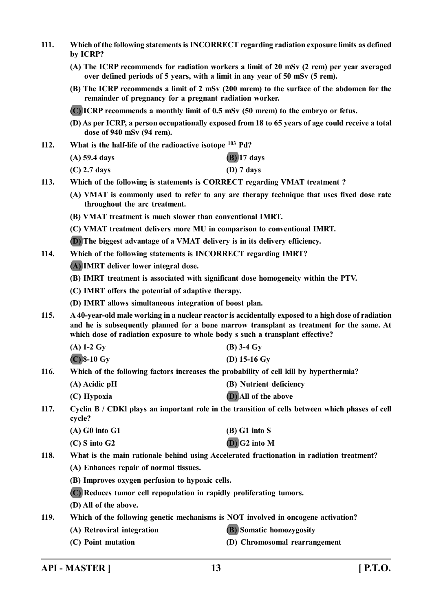- **111. Which of the following statements is INCORRECT regarding radiation exposure limits as defined by ICRP?**
	- **(A) The ICRP recommends for radiation workers a limit of 20 mSv (2 rem) per year averaged over defined periods of 5 years, with a limit in any year of 50 mSv (5 rem).**
	- **(B) The ICRP recommends a limit of 2 mSv (200 mrem) to the surface of the abdomen for the remainder of pregnancy for a pregnant radiation worker.**

**(C) ICRP recommends a monthly limit of 0.5 mSv (50 mrem) to the embryo or fetus.**

- **(D) As per ICRP, a person occupationally exposed from 18 to 65 years of age could receive a total dose of 940 mSv (94 rem).**
- **112. What is the half-life of the radioactive isotope <sup>103</sup> Pd?**
	- **(A) 59.4 days (B) 17 days**
	- **(C) 2.7 days (D) 7 days**
- **113. Which of the following is statements is CORRECT regarding VMAT treatment ?**
	- **(A) VMAT is commonly used to refer to any arc therapy technique that uses fixed dose rate throughout the arc treatment.**
	- **(B) VMAT treatment is much slower than conventional IMRT.**
	- **(C) VMAT treatment delivers more MU in comparison to conventional IMRT.**
	- **(D) The biggest advantage of a VMAT delivery is in its delivery efficiency.**
- **114. Which of the following statements is INCORRECT regarding IMRT?**
	- **(A) IMRT deliver lower integral dose.**
	- **(B) IMRT treatment is associated with significant dose homogeneity within the PTV.**
	- **(C) IMRT offers the potential of adaptive therapy.**
	- **(D) IMRT allows simultaneous integration of boost plan.**
- **115. A 40-year-old male working in a nuclear reactor is accidentally exposed to a high dose of radiation and he is subsequently planned for a bone marrow transplant as treatment for the same. At which dose of radiation exposure to whole body s such a transplant effective?**
	- **(A) 1-2 Gy (B) 3-4 Gy (C) 8-10 Gy (D) 15-16 Gy**
- **116. Which of the following factors increases the probability of cell kill by hyperthermia?**
	- **(A) Acidic pH (B) Nutrient deficiency**
	- **(C) Hypoxia (D) All of the above**

**117. Cyclin B / CDKl plays an important role in the transition of cells between which phases of cell cycle?**

| $(A)$ G0 into G1  | $(B)$ G1 into S |
|-------------------|-----------------|
| $(C)$ S into $G2$ | $(D)$ G2 into M |

**118. What is the main rationale behind using Accelerated fractionation in radiation treatment?**

- **(A) Enhances repair of normal tissues.**
- **(B) Improves oxygen perfusion to hypoxic cells.**
- **(C) Reduces tumor cell repopulation in rapidly proliferating tumors.**
- **(D) All of the above.**
- **119. Which of the following genetic mechanisms is NOT involved in oncogene activation?**
	- **(A) Retroviral integration (B) Somatic homozygosity**
	- **(C) Point mutation (D) Chromosomal rearrangement**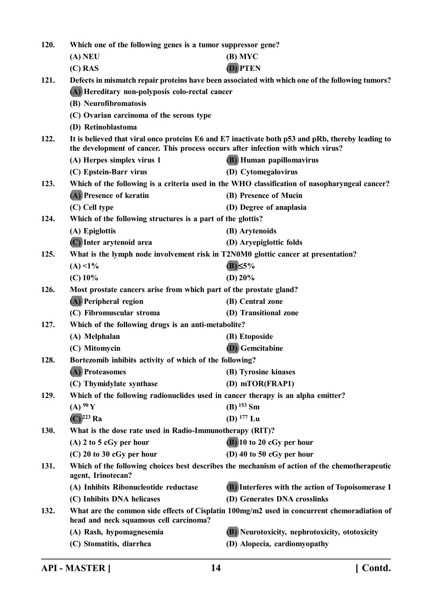| 120. | Which one of the following genes is a tumor suppressor gene?                      |                                                                                                   |  |
|------|-----------------------------------------------------------------------------------|---------------------------------------------------------------------------------------------------|--|
|      | $(A)$ NEU                                                                         | $(B)$ MYC                                                                                         |  |
|      | $(C)$ RAS                                                                         | (D) PTEN                                                                                          |  |
| 121. |                                                                                   | Defects in mismatch repair proteins have been associated with which one of the following tumors?  |  |
|      | (A) Hereditary non-polyposis colo-rectal cancer                                   |                                                                                                   |  |
|      | (B) Neurofibromatosis                                                             |                                                                                                   |  |
|      | (C) Ovarian carcinoma of the serous type                                          |                                                                                                   |  |
|      | (D) Retinoblastoma                                                                |                                                                                                   |  |
| 122. | the development of cancer. This process occurs after infection with which virus?  | It is believed that viral onco proteins E6 and E7 inactivate both p53 and pRb, thereby leading to |  |
|      | (A) Herpes simplex virus 1                                                        | <b>(B)</b> Human papillomavirus                                                                   |  |
|      | (C) Epstein-Barr virus                                                            | (D) Cytomegalovirus                                                                               |  |
| 123. |                                                                                   | Which of the following is a criteria used in the WHO classification of nasopharyngeal cancer?     |  |
|      | (A) Presence of keratin                                                           | (B) Presence of Mucin                                                                             |  |
|      | (C) Cell type                                                                     | (D) Degree of anaplasia                                                                           |  |
| 124. | Which of the following structures is a part of the glottis?                       |                                                                                                   |  |
|      | (A) Epiglottis                                                                    | (B) Arytenoids                                                                                    |  |
|      | (C) Inter arytenoid area                                                          | (D) Aryepiglottic folds                                                                           |  |
| 125. | What is the lymph node involvement risk in T2N0M0 glottic cancer at presentation? |                                                                                                   |  |
|      | $(A) < 1\%$                                                                       | $(B) \leq 5\%$                                                                                    |  |
|      | $(C)$ 10%                                                                         | (D) $20%$                                                                                         |  |
| 126. |                                                                                   | Most prostate cancers arise from which part of the prostate gland?                                |  |
|      | (A) Peripheral region                                                             | (B) Central zone                                                                                  |  |
|      | (C) Fibromuscular stroma                                                          | (D) Transitional zone                                                                             |  |
| 127. | Which of the following drugs is an anti-metabolite?                               |                                                                                                   |  |
|      | (A) Melphalan                                                                     | (B) Etoposide                                                                                     |  |
|      | (C) Mitomycin                                                                     | <b>(D)</b> Gemcitabine                                                                            |  |
| 128. | Bortezomib inhibits activity of which of the following?                           |                                                                                                   |  |
|      | (A) Proteasomes                                                                   | (B) Tyrosine kinases                                                                              |  |
|      | (C) Thymidylate synthase                                                          | (D) mTOR(FRAP1)                                                                                   |  |
| 129. | Which of the following radionuclides used in cancer therapy is an alpha emitter?  |                                                                                                   |  |
|      | (A) 90 Y                                                                          | $(B)$ <sup>153</sup> Sm                                                                           |  |
|      | $(C)$ <sup>223</sup> Ra                                                           | (D) $177$ Lu                                                                                      |  |
| 130. | What is the dose rate used in Radio-Immunotherapy (RIT)?                          |                                                                                                   |  |
|      | $(A)$ 2 to 5 cGy per hour                                                         | $(B)$ 10 to 20 cGy per hour                                                                       |  |
|      | $(C)$ 20 to 30 cGy per hour                                                       | (D) 40 to 50 $cGy$ per hour                                                                       |  |
| 131. | agent, Irinotecan?                                                                | Which of the following choices best describes the mechanism of action of the chemotherapeutic     |  |
|      | (A) Inhibits Ribonucleotide reductase                                             | (B) Interferes with the action of Topoisomerase I                                                 |  |
|      | (C) Inhibits DNA helicases                                                        | (D) Generates DNA crosslinks                                                                      |  |
| 132. | head and neck squamous cell carcinoma?                                            | What are the common side effects of Cisplatin 100mg/m2 used in concurrent chemoradiation of       |  |
|      | (A) Rash, hypomagnesemia                                                          | (B) Neurotoxicity, nephrotoxicity, ototoxicity                                                    |  |
|      | (C) Stomatitis, diarrhea                                                          | (D) Alopecia, cardiomyopathy                                                                      |  |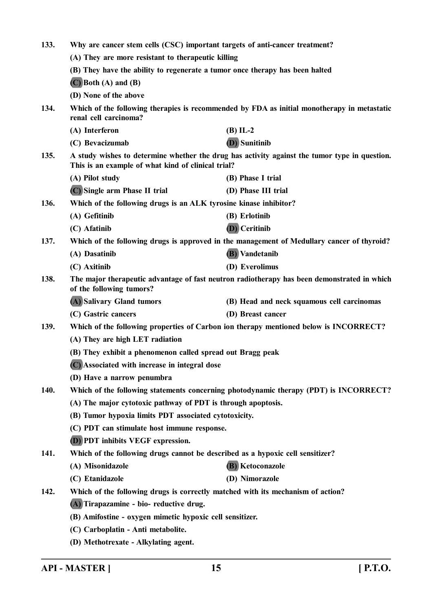| 133. | Why are cancer stem cells (CSC) important targets of anti-cancer treatment?     |                                                                                                                                                     |  |
|------|---------------------------------------------------------------------------------|-----------------------------------------------------------------------------------------------------------------------------------------------------|--|
|      | (A) They are more resistant to therapeutic killing                              |                                                                                                                                                     |  |
|      | (B) They have the ability to regenerate a tumor once therapy has been halted    |                                                                                                                                                     |  |
|      | $(C)$ Both $(A)$ and $(B)$                                                      |                                                                                                                                                     |  |
|      | (D) None of the above                                                           |                                                                                                                                                     |  |
| 134. | renal cell carcinoma?                                                           | Which of the following therapies is recommended by FDA as initial monotherapy in metastatic                                                         |  |
|      | (A) Interferon                                                                  | $(B)$ IL-2                                                                                                                                          |  |
|      | (C) Bevacizumab                                                                 | (D) Sunitinib                                                                                                                                       |  |
| 135. |                                                                                 | A study wishes to determine whether the drug has activity against the tumor type in question.<br>This is an example of what kind of clinical trial? |  |
|      | (A) Pilot study                                                                 | (B) Phase I trial                                                                                                                                   |  |
|      | (C) Single arm Phase II trial                                                   | (D) Phase III trial                                                                                                                                 |  |
| 136. | Which of the following drugs is an ALK tyrosine kinase inhibitor?               |                                                                                                                                                     |  |
|      | (A) Gefitinib                                                                   | (B) Erlotinib                                                                                                                                       |  |
|      | (C) Afatinib                                                                    | (D) Ceritinib                                                                                                                                       |  |
| 137. |                                                                                 | Which of the following drugs is approved in the management of Medullary cancer of thyroid?                                                          |  |
|      | (A) Dasatinib                                                                   | (B) Vandetanib                                                                                                                                      |  |
|      | (C) Axitinib                                                                    | (D) Everolimus                                                                                                                                      |  |
| 138. | of the following tumors?                                                        | The major therapeutic advantage of fast neutron radiotherapy has been demonstrated in which                                                         |  |
|      | (A) Salivary Gland tumors                                                       | (B) Head and neck squamous cell carcinomas                                                                                                          |  |
|      | (C) Gastric cancers                                                             | (D) Breast cancer                                                                                                                                   |  |
| 139. |                                                                                 | Which of the following properties of Carbon ion therapy mentioned below is INCORRECT?                                                               |  |
|      | (A) They are high LET radiation                                                 |                                                                                                                                                     |  |
|      | (B) They exhibit a phenomenon called spread out Bragg peak                      |                                                                                                                                                     |  |
|      | (C) Associated with increase in integral dose                                   |                                                                                                                                                     |  |
|      | (D) Have a narrow penumbra                                                      |                                                                                                                                                     |  |
| 140. |                                                                                 | Which of the following statements concerning photodynamic therapy (PDT) is INCORRECT?                                                               |  |
|      | (A) The major cytotoxic pathway of PDT is through apoptosis.                    |                                                                                                                                                     |  |
|      | (B) Tumor hypoxia limits PDT associated cytotoxicity.                           |                                                                                                                                                     |  |
|      | (C) PDT can stimulate host immune response.                                     |                                                                                                                                                     |  |
|      | <b>D</b> ) PDT inhibits VEGF expression.                                        |                                                                                                                                                     |  |
| 141. | Which of the following drugs cannot be described as a hypoxic cell sensitizer?  |                                                                                                                                                     |  |
|      | (A) Misonidazole                                                                | (B) Ketoconazole                                                                                                                                    |  |
|      | (C) Etanidazole                                                                 | (D) Nimorazole                                                                                                                                      |  |
| 142. | Which of the following drugs is correctly matched with its mechanism of action? |                                                                                                                                                     |  |
|      | (A) Tirapazamine - bio- reductive drug.                                         |                                                                                                                                                     |  |
|      | (B) Amifostine - oxygen mimetic hypoxic cell sensitizer.                        |                                                                                                                                                     |  |
|      | (C) Carboplatin - Anti metabolite.                                              |                                                                                                                                                     |  |
|      | (D) Methotrexate - Alkylating agent.                                            |                                                                                                                                                     |  |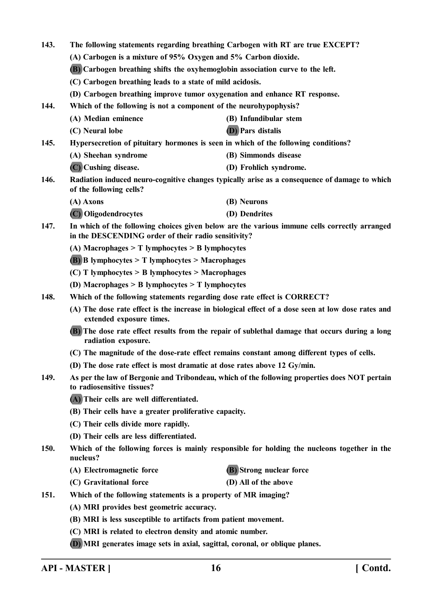**143. The following statements regarding breathing Carbogen with RT are true EXCEPT? (A) Carbogen is a mixture of 95% Oxygen and 5% Carbon dioxide. (B) Carbogen breathing shifts the oxyhemoglobin association curve to the left. (C) Carbogen breathing leads to a state of mild acidosis. (D) Carbogen breathing improve tumor oxygenation and enhance RT response. 144. Which of the following is not a component of the neurohypophysis? (A) Median eminence (B) Infundibular stem (C) Neural lobe (D) Pars distalis 145. Hypersecretion of pituitary hormones is seen in which of the following conditions? (A) Sheehan syndrome (B) Simmonds disease (C) Cushing disease. (D) Frohlich syndrome. 146. Radiation induced neuro-cognitive changes typically arise as a consequence of damage to which of the following cells? (A) Axons (B) Neurons (C) Oligodendrocytes (D) Dendrites 147. In which of the following choices given below are the various immune cells correctly arranged in the DESCENDING order of their radio sensitivity? (A) Macrophages > T lymphocytes > B lymphocytes (B) B lymphocytes > T lymphocytes > Macrophages (C) T lymphocytes > B lymphocytes > Macrophages (D) Macrophages > B lymphocytes > T lymphocytes 148. Which of the following statements regarding dose rate effect is CORRECT? (A) The dose rate effect is the increase in biological effect of a dose seen at low dose rates and extended exposure times. (B) The dose rate effect results from the repair of sublethal damage that occurs during a long radiation exposure. (C) The magnitude of the dose-rate effect remains constant among different types of cells. (D) The dose rate effect is most dramatic at dose rates above 12 Gy/min. 149. As per the law of Bergonie and Tribondeau, which of the following properties does NOT pertain to radiosensitive tissues? (A) Their cells are well differentiated. (B) Their cells have a greater proliferative capacity. (C) Their cells divide more rapidly. (D) Their cells are less differentiated. 150. Which of the following forces is mainly responsible for holding the nucleons together in the nucleus? (A) Electromagnetic force (B) Strong nuclear force (C) Gravitational force (D) All of the above 151. Which of the following statements is a property of MR imaging? (A) MRI provides best geometric accuracy. (B) MRI is less susceptible to artifacts from patient movement. (C) MRI is related to electron density and atomic number. (D) MRI generates image sets in axial, sagittal, coronal, or oblique planes.**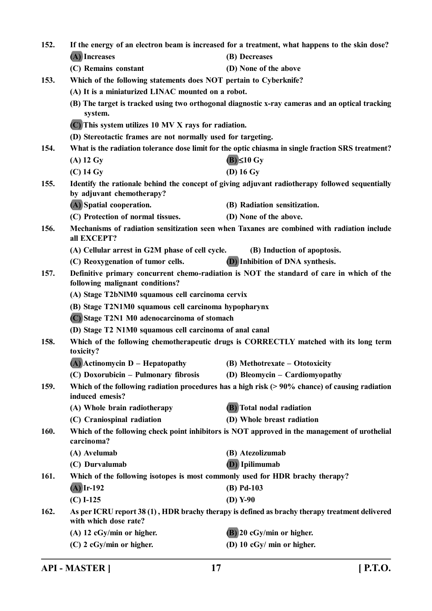| 152. |                                                                                                                              | If the energy of an electron beam is increased for a treatment, what happens to the skin dose? |  |
|------|------------------------------------------------------------------------------------------------------------------------------|------------------------------------------------------------------------------------------------|--|
|      | (A) Increases                                                                                                                | (B) Decreases                                                                                  |  |
|      | (C) Remains constant                                                                                                         | (D) None of the above                                                                          |  |
| 153. | Which of the following statements does NOT pertain to Cyberknife?                                                            |                                                                                                |  |
|      | (A) It is a miniaturized LINAC mounted on a robot.                                                                           |                                                                                                |  |
|      | (B) The target is tracked using two orthogonal diagnostic x-ray cameras and an optical tracking<br>system.                   |                                                                                                |  |
|      | (C) This system utilizes 10 MV X rays for radiation.                                                                         |                                                                                                |  |
|      | (D) Stereotactic frames are not normally used for targeting.                                                                 |                                                                                                |  |
| 154. | What is the radiation tolerance dose limit for the optic chiasma in single fraction SRS treatment?                           |                                                                                                |  |
|      | $(A)$ 12 Gy                                                                                                                  | $(B) \leq 10$ Gy                                                                               |  |
|      | $(C)$ 14 Gy                                                                                                                  | $(D)$ 16 Gy                                                                                    |  |
| 155. | Identify the rationale behind the concept of giving adjuvant radiotherapy followed sequentially<br>by adjuvant chemotherapy? |                                                                                                |  |
|      | (A) Spatial cooperation.                                                                                                     | (B) Radiation sensitization.                                                                   |  |
|      | (C) Protection of normal tissues.                                                                                            | (D) None of the above.                                                                         |  |
| 156. | Mechanisms of radiation sensitization seen when Taxanes are combined with radiation include<br>all EXCEPT?                   |                                                                                                |  |
|      | (A) Cellular arrest in G2M phase of cell cycle.                                                                              | (B) Induction of apoptosis.                                                                    |  |
|      | (C) Reoxygenation of tumor cells.                                                                                            | (D) Inhibition of DNA synthesis.                                                               |  |
| 157. | Definitive primary concurrent chemo-radiation is NOT the standard of care in which of the<br>following malignant conditions? |                                                                                                |  |
|      | (A) Stage T2bNlM0 squamous cell carcinoma cervix                                                                             |                                                                                                |  |
|      | (B) Stage T2N1M0 squamous cell carcinoma hypopharynx                                                                         |                                                                                                |  |
|      | (C) Stage T2N1 M0 adenocarcinoma of stomach                                                                                  |                                                                                                |  |
|      | (D) Stage T2 N1M0 squamous cell carcinoma of anal canal                                                                      |                                                                                                |  |
| 158. | Which of the following chemotherapeutic drugs is CORRECTLY matched with its long term<br>toxicity?                           |                                                                                                |  |
|      | (A) Actinomycin D – Hepatopathy (B) Methotrexate – Ototoxicity                                                               |                                                                                                |  |
|      | (C) Doxorubicin – Pulmonary fibrosis                                                                                         | (D) Bleomycin – Cardiomyopathy                                                                 |  |
| 159. | Which of the following radiation procedures has a high risk $(> 90\%$ chance) of causing radiation<br>induced emesis?        |                                                                                                |  |
|      | (A) Whole brain radiotherapy                                                                                                 | (B) Total nodal radiation                                                                      |  |
|      | (C) Craniospinal radiation                                                                                                   | (D) Whole breast radiation                                                                     |  |
| 160. | Which of the following check point inhibitors is NOT approved in the management of urothelial<br>carcinoma?                  |                                                                                                |  |
|      | (A) Avelumab                                                                                                                 | (B) Atezolizumab                                                                               |  |
|      | (C) Durvalumab                                                                                                               | <b>(D)</b> Ipilimumab                                                                          |  |
| 161. | Which of the following isotopes is most commonly used for HDR brachy therapy?                                                |                                                                                                |  |
|      | $(A)$ Ir-192                                                                                                                 | $(B)$ Pd-103                                                                                   |  |
|      | $(C) I-125$                                                                                                                  | $(D)$ Y-90                                                                                     |  |
| 162. | As per ICRU report 38 (1), HDR brachy therapy is defined as brachy therapy treatment delivered<br>with which dose rate?      |                                                                                                |  |
|      | (A) 12 cGy/min or higher.                                                                                                    | (B) 20 cGy/min or higher.                                                                      |  |
|      | (C) 2 cGy/min or higher.                                                                                                     | (D) 10 cGy/ min or higher.                                                                     |  |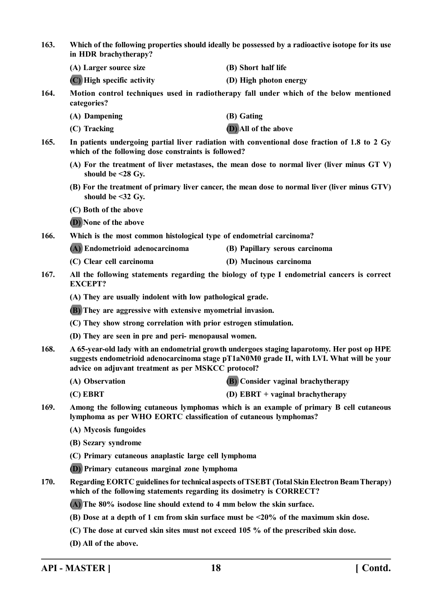- **163. Which of the following properties should ideally be possessed by a radioactive isotope for its use in HDR brachytherapy?**
	- **(A) Larger source size (B) Short half life**
	- **(C) High specific activity (D) High photon energy**
- **164. Motion control techniques used in radiotherapy fall under which of the below mentioned categories?**
	- **(A) Dampening (B) Gating**
	- **(C) Tracking (D) All of the above**
- **165. In patients undergoing partial liver radiation with conventional dose fraction of 1.8 to 2 Gy which of the following dose constraints is followed?**
	- **(A) For the treatment of liver metastases, the mean dose to normal liver (liver minus GT V) should be <28 Gy.**
	- **(B) For the treatment of primary liver cancer, the mean dose to normal liver (liver minus GTV) should be <32 Gy.**
	- **(C) Both of the above**
	- **(D) None of the above**
- **166. Which is the most common histological type of endometrial carcinoma?**
	- **(A) Endometrioid adenocarcinoma (B) Papillary serous carcinoma**
	- **(C) Clear cell carcinoma (D) Mucinous carcinoma**
- **167. All the following statements regarding the biology of type I endometrial cancers is correct EXCEPT?**
	- **(A) They are usually indolent with low pathological grade.**
	- **(B) They are aggressive with extensive myometrial invasion.**
	- **(C) They show strong correlation with prior estrogen stimulation.**
	- **(D) They are seen in pre and peri- menopausal women.**
- **168. A 65-year-old lady with an endometrial growth undergoes staging laparotomy. Her post op HPE suggests endometrioid adenocarcinoma stage pT1aN0M0 grade II, with LVI. What will be your advice on adjuvant treatment as per MSKCC protocol?**
	- **(A) Observation (B) Consider vaginal brachytherapy**
	- **(C) EBRT (D) EBRT + vaginal brachytherapy**
- **169. Among the following cutaneous lymphomas which is an example of primary B cell cutaneous lymphoma as per WHO EORTC classification of cutaneous lymphomas?**
	- **(A) Mycosis fungoides**
	- **(B) Sezary syndrome**
	- **(C) Primary cutaneous anaplastic large cell lymphoma**
	- **(D) Primary cutaneous marginal zone lymphoma**
- **170. Regarding EORTC guidelines for technical aspects of TSEBT (Total Skin Electron Beam Therapy) which of the following statements regarding its dosimetry is CORRECT?**
	- **(A) The 80% isodose line should extend to 4 mm below the skin surface.**
	- **(B) Dose at a depth of 1 cm from skin surface must be <20% of the maximum skin dose.**
	- **(C) The dose at curved skin sites must not exceed 105 % of the prescribed skin dose.**
	- **(D) All of the above.**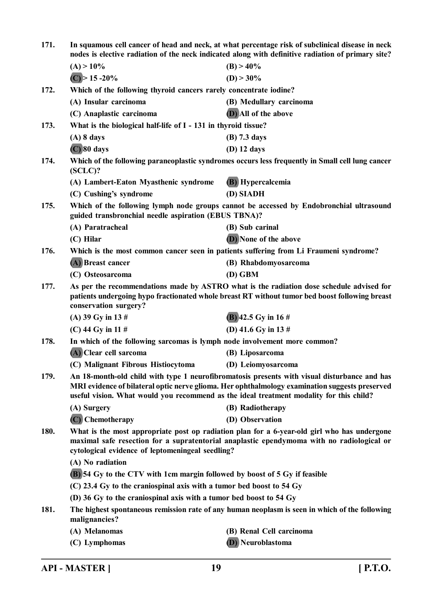| 171.                                                                                            | In squamous cell cancer of head and neck, at what percentage risk of subclinical disease in neck<br>nodes is elective radiation of the neck indicated along with definitive radiation of primary site?                                       |                                                                                                                                                                                                |  |
|-------------------------------------------------------------------------------------------------|----------------------------------------------------------------------------------------------------------------------------------------------------------------------------------------------------------------------------------------------|------------------------------------------------------------------------------------------------------------------------------------------------------------------------------------------------|--|
|                                                                                                 | $(A) > 10\%$                                                                                                                                                                                                                                 | $(B) > 40\%$                                                                                                                                                                                   |  |
|                                                                                                 | $(C)$ > 15 -20%                                                                                                                                                                                                                              | $(D) > 30\%$                                                                                                                                                                                   |  |
| 172.                                                                                            | Which of the following thyroid cancers rarely concentrate iodine?                                                                                                                                                                            |                                                                                                                                                                                                |  |
|                                                                                                 | (A) Insular carcinoma                                                                                                                                                                                                                        | (B) Medullary carcinoma                                                                                                                                                                        |  |
|                                                                                                 | (C) Anaplastic carcinoma                                                                                                                                                                                                                     | (D) All of the above                                                                                                                                                                           |  |
| 173.                                                                                            | What is the biological half-life of I - 131 in thyroid tissue?                                                                                                                                                                               |                                                                                                                                                                                                |  |
|                                                                                                 | $(A)$ 8 days                                                                                                                                                                                                                                 | (B) 7.3 days                                                                                                                                                                                   |  |
|                                                                                                 | $(C)$ 80 days                                                                                                                                                                                                                                | (D) 12 days                                                                                                                                                                                    |  |
| 174.                                                                                            | Which of the following paraneoplastic syndromes occurs less frequently in Small cell lung cancer<br>$(SCLC)$ ?                                                                                                                               |                                                                                                                                                                                                |  |
|                                                                                                 | (A) Lambert-Eaton Myasthenic syndrome                                                                                                                                                                                                        | (B) Hypercalcemia                                                                                                                                                                              |  |
|                                                                                                 | (C) Cushing's syndrome                                                                                                                                                                                                                       | (D) SIADH                                                                                                                                                                                      |  |
| 175.                                                                                            | Which of the following lymph node groups cannot be accessed by Endobronchial ultrasound<br>guided transbronchial needle aspiration (EBUS TBNA)?                                                                                              |                                                                                                                                                                                                |  |
|                                                                                                 | (A) Paratracheal                                                                                                                                                                                                                             | (B) Sub carinal                                                                                                                                                                                |  |
|                                                                                                 | $(C)$ Hilar                                                                                                                                                                                                                                  | <b>D</b> ) None of the above                                                                                                                                                                   |  |
| 176.                                                                                            | Which is the most common cancer seen in patients suffering from Li Fraumeni syndrome?                                                                                                                                                        |                                                                                                                                                                                                |  |
|                                                                                                 | (A) Breast cancer                                                                                                                                                                                                                            | (B) Rhabdomyosarcoma                                                                                                                                                                           |  |
|                                                                                                 | (C) Osteosarcoma                                                                                                                                                                                                                             | $(D)$ GBM                                                                                                                                                                                      |  |
| 177.                                                                                            | As per the recommendations made by ASTRO what is the radiation dose schedule advised for<br>patients undergoing hypo fractionated whole breast RT without tumor bed boost following breast<br>conservation surgery?                          |                                                                                                                                                                                                |  |
|                                                                                                 | (A) 39 Gy in 13 $#$                                                                                                                                                                                                                          | $(B)$ 42.5 Gy in 16#                                                                                                                                                                           |  |
|                                                                                                 | (C) 44 Gy in 11 $#$                                                                                                                                                                                                                          | (D) 41.6 Gy in 13 $#$                                                                                                                                                                          |  |
| 178.                                                                                            | In which of the following sarcomas is lymph node involvement more common?                                                                                                                                                                    |                                                                                                                                                                                                |  |
|                                                                                                 | (A) Clear cell sarcoma                                                                                                                                                                                                                       | (B) Liposarcoma                                                                                                                                                                                |  |
|                                                                                                 | (C) Malignant Fibrous Histiocytoma                                                                                                                                                                                                           | (D) Leiomyosarcoma                                                                                                                                                                             |  |
| 179.<br>useful vision. What would you recommend as the ideal treatment modality for this child? |                                                                                                                                                                                                                                              | An 18-month-old child with type 1 neurofibromatosis presents with visual disturbance and has<br>MRI evidence of bilateral optic nerve glioma. Her ophthalmology examination suggests preserved |  |
|                                                                                                 | (A) Surgery                                                                                                                                                                                                                                  | (B) Radiotherapy                                                                                                                                                                               |  |
|                                                                                                 | (C) Chemotherapy                                                                                                                                                                                                                             | (D) Observation                                                                                                                                                                                |  |
| 180.                                                                                            | What is the most appropriate post op radiation plan for a 6-year-old girl who has undergone<br>maximal safe resection for a supratentorial anaplastic ependymoma with no radiological or<br>cytological evidence of leptomeningeal seedling? |                                                                                                                                                                                                |  |
|                                                                                                 | (A) No radiation                                                                                                                                                                                                                             |                                                                                                                                                                                                |  |
|                                                                                                 | (B) 54 Gy to the CTV with 1cm margin followed by boost of 5 Gy if feasible                                                                                                                                                                   |                                                                                                                                                                                                |  |
|                                                                                                 | $(C)$ 23.4 Gy to the craniospinal axis with a tumor bed boost to 54 Gy                                                                                                                                                                       |                                                                                                                                                                                                |  |
|                                                                                                 | (D) 36 Gy to the craniospinal axis with a tumor bed boost to 54 Gy                                                                                                                                                                           |                                                                                                                                                                                                |  |
| 181.                                                                                            | The highest spontaneous remission rate of any human neoplasm is seen in which of the following<br>malignancies?                                                                                                                              |                                                                                                                                                                                                |  |
|                                                                                                 | (A) Melanomas                                                                                                                                                                                                                                | (B) Renal Cell carcinoma                                                                                                                                                                       |  |
|                                                                                                 | (C) Lymphomas                                                                                                                                                                                                                                | <b>(D)</b> Neuroblastoma                                                                                                                                                                       |  |

**API - MASTER ] 19 [ P.T.O.**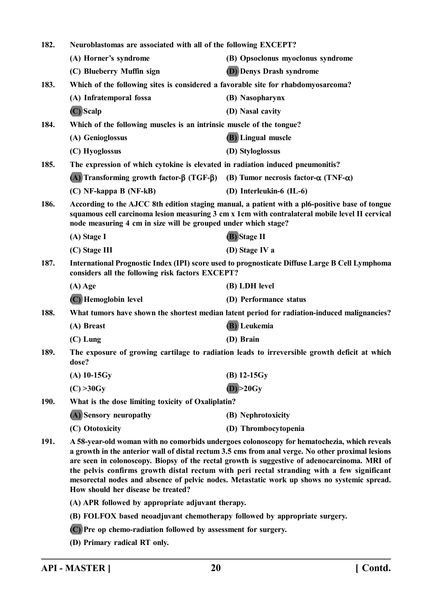| 182. | Neuroblastomas are associated with all of the following EXCEPT?                                                                                                                                                                                                                                                                                                                                                                                                                                                                    |                                                                                              |  |
|------|------------------------------------------------------------------------------------------------------------------------------------------------------------------------------------------------------------------------------------------------------------------------------------------------------------------------------------------------------------------------------------------------------------------------------------------------------------------------------------------------------------------------------------|----------------------------------------------------------------------------------------------|--|
|      | (A) Horner's syndrome                                                                                                                                                                                                                                                                                                                                                                                                                                                                                                              | (B) Opsoclonus myoclonus syndrome                                                            |  |
|      | (C) Blueberry Muffin sign                                                                                                                                                                                                                                                                                                                                                                                                                                                                                                          | <b>(D)</b> Denys Drash syndrome                                                              |  |
| 183. | Which of the following sites is considered a favorable site for rhabdomyosarcoma?                                                                                                                                                                                                                                                                                                                                                                                                                                                  |                                                                                              |  |
|      | (A) Infratemporal fossa                                                                                                                                                                                                                                                                                                                                                                                                                                                                                                            | (B) Nasopharynx                                                                              |  |
|      | (C) Scalp                                                                                                                                                                                                                                                                                                                                                                                                                                                                                                                          | (D) Nasal cavity                                                                             |  |
| 184. | Which of the following muscles is an intrinsic muscle of the tongue?                                                                                                                                                                                                                                                                                                                                                                                                                                                               |                                                                                              |  |
|      | (A) Genioglossus                                                                                                                                                                                                                                                                                                                                                                                                                                                                                                                   | <b>(B)</b> Lingual muscle                                                                    |  |
|      | (C) Hyoglossus                                                                                                                                                                                                                                                                                                                                                                                                                                                                                                                     | (D) Styloglossus                                                                             |  |
| 185. | The expression of which cytokine is elevated in radiation induced pneumonitis?                                                                                                                                                                                                                                                                                                                                                                                                                                                     |                                                                                              |  |
|      | (A) Transforming growth factor- $\beta$ (TGF- $\beta$ )                                                                                                                                                                                                                                                                                                                                                                                                                                                                            | (B) Tumor necrosis factor- $\alpha$ (TNF- $\alpha$ )                                         |  |
|      | (C) NF-kappa B (NF-kB)                                                                                                                                                                                                                                                                                                                                                                                                                                                                                                             | (D) Interleukin-6 (IL-6)                                                                     |  |
| 186. | According to the AJCC 8th edition staging manual, a patient with a pl6-positive base of tongue<br>squamous cell carcinoma lesion measuring 3 cm x 1cm with contralateral mobile level II cervical<br>node measuring 4 cm in size will be grouped under which stage?                                                                                                                                                                                                                                                                |                                                                                              |  |
|      | (A) Stage I                                                                                                                                                                                                                                                                                                                                                                                                                                                                                                                        | (B) Stage II                                                                                 |  |
|      | (C) Stage III                                                                                                                                                                                                                                                                                                                                                                                                                                                                                                                      | (D) Stage IV a                                                                               |  |
| 187. | International Prognostic Index (IPI) score used to prognosticate Diffuse Large B Cell Lymphoma<br>considers all the following risk factors EXCEPT?                                                                                                                                                                                                                                                                                                                                                                                 |                                                                                              |  |
|      | $(A)$ Age                                                                                                                                                                                                                                                                                                                                                                                                                                                                                                                          | (B) LDH level                                                                                |  |
|      | (C) Hemoglobin level                                                                                                                                                                                                                                                                                                                                                                                                                                                                                                               | (D) Performance status                                                                       |  |
| 188. |                                                                                                                                                                                                                                                                                                                                                                                                                                                                                                                                    | What tumors have shown the shortest median latent period for radiation-induced malignancies? |  |
|      | (A) Breast                                                                                                                                                                                                                                                                                                                                                                                                                                                                                                                         | (B) Leukemia                                                                                 |  |
|      | $(C)$ Lung                                                                                                                                                                                                                                                                                                                                                                                                                                                                                                                         | (D) Brain                                                                                    |  |
| 189. | The exposure of growing cartilage to radiation leads to irreversible growth deficit at which<br>dose?                                                                                                                                                                                                                                                                                                                                                                                                                              |                                                                                              |  |
|      | $(A)$ 10-15Gy                                                                                                                                                                                                                                                                                                                                                                                                                                                                                                                      | $(B)$ 12-15 $Gy$                                                                             |  |
|      | (C) > 30Gy                                                                                                                                                                                                                                                                                                                                                                                                                                                                                                                         | (D) > 20Gy                                                                                   |  |
| 190. | What is the dose limiting toxicity of Oxaliplatin?                                                                                                                                                                                                                                                                                                                                                                                                                                                                                 |                                                                                              |  |
|      | (A) Sensory neuropathy                                                                                                                                                                                                                                                                                                                                                                                                                                                                                                             | (B) Nephrotoxicity                                                                           |  |
|      | (C) Ototoxicity                                                                                                                                                                                                                                                                                                                                                                                                                                                                                                                    | (D) Thrombocytopenia                                                                         |  |
| 191. | A 58-year-old woman with no comorbids undergoes colonoscopy for hematochezia, which reveals<br>a growth in the anterior wall of distal rectum 3.5 cms from anal verge. No other proximal lesions<br>are seen in colonoscopy. Biopsy of the rectal growth is suggestive of adenocarcinoma. MRI of<br>the pelvis confirms growth distal rectum with peri rectal stranding with a few significant<br>mesorectal nodes and absence of pelvic nodes. Metastatic work up shows no systemic spread.<br>How should her disease be treated? |                                                                                              |  |
|      | (A) APR followed by appropriate adjuvant therapy.                                                                                                                                                                                                                                                                                                                                                                                                                                                                                  |                                                                                              |  |
|      | (B) FOLFOX based neoadjuvant chemotherapy followed by appropriate surgery.                                                                                                                                                                                                                                                                                                                                                                                                                                                         |                                                                                              |  |
|      | (C) Pre op chemo-radiation followed by assessment for surgery.                                                                                                                                                                                                                                                                                                                                                                                                                                                                     |                                                                                              |  |
|      | (D) Primary radical RT only.                                                                                                                                                                                                                                                                                                                                                                                                                                                                                                       |                                                                                              |  |